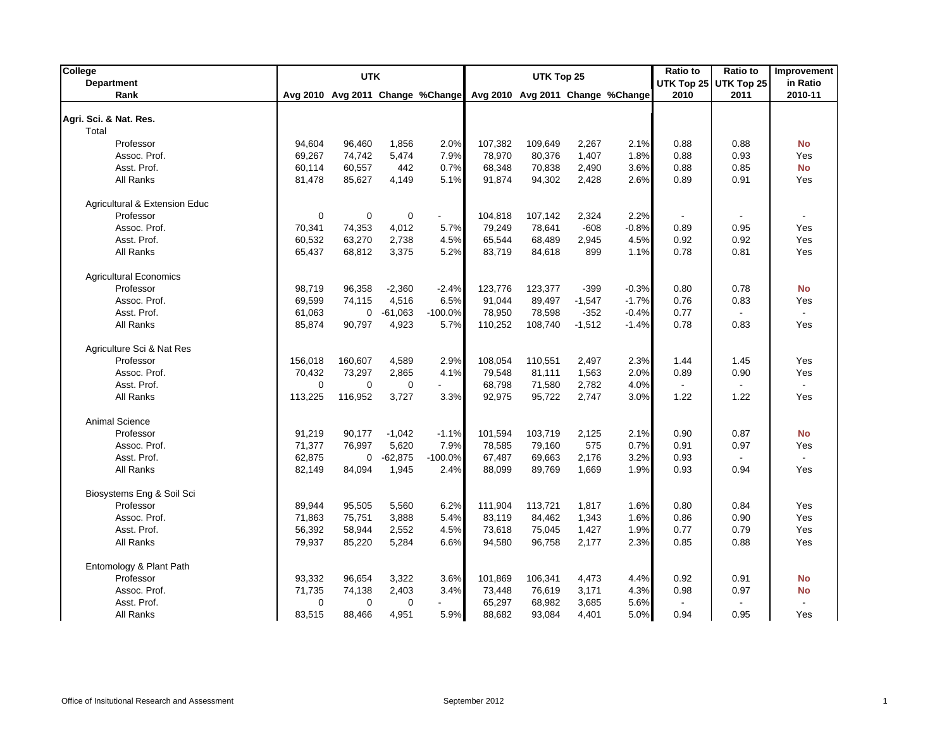| College                       |             | <b>UTK</b>                       |             |                |         | UTK Top 25 |          |                                  | <b>Ratio to</b> | <b>Ratio to</b> | Improvement               |
|-------------------------------|-------------|----------------------------------|-------------|----------------|---------|------------|----------|----------------------------------|-----------------|-----------------|---------------------------|
| <b>Department</b>             |             |                                  |             |                |         |            |          |                                  | UTK Top 25      | UTK Top 25      | in Ratio                  |
| Rank                          |             | Avg 2010 Avg 2011 Change %Change |             |                |         |            |          | Avg 2010 Avg 2011 Change %Change | 2010            | 2011            | 2010-11                   |
| Agri. Sci. & Nat. Res.        |             |                                  |             |                |         |            |          |                                  |                 |                 |                           |
| Total                         |             |                                  |             |                |         |            |          |                                  |                 |                 |                           |
| Professor                     | 94.604      | 96,460                           | 1,856       | 2.0%           | 107,382 | 109,649    | 2,267    | 2.1%                             | 0.88            | 0.88            | <b>No</b>                 |
| Assoc. Prof.                  | 69,267      | 74,742                           | 5,474       | 7.9%           | 78,970  | 80,376     | 1,407    | 1.8%                             | 0.88            | 0.93            | Yes                       |
| Asst. Prof.                   | 60,114      | 60,557                           | 442         | 0.7%           | 68,348  | 70,838     | 2,490    | 3.6%                             | 0.88            | 0.85            | <b>No</b>                 |
| All Ranks                     | 81,478      | 85,627                           | 4,149       | 5.1%           | 91,874  | 94,302     | 2,428    | 2.6%                             | 0.89            | 0.91            | Yes                       |
| Agricultural & Extension Educ |             |                                  |             |                |         |            |          |                                  |                 |                 |                           |
| Professor                     | $\mathbf 0$ | $\mathbf 0$                      | $\mathbf 0$ | $\blacksquare$ | 104,818 | 107,142    | 2,324    | 2.2%                             |                 |                 |                           |
| Assoc. Prof.                  | 70,341      | 74,353                           | 4,012       | 5.7%           | 79,249  | 78,641     | $-608$   | $-0.8%$                          | 0.89            | 0.95            | Yes                       |
| Asst. Prof.                   | 60,532      | 63,270                           | 2,738       | 4.5%           | 65,544  | 68,489     | 2,945    | 4.5%                             | 0.92            | 0.92            | Yes                       |
| All Ranks                     | 65,437      | 68,812                           | 3,375       | 5.2%           | 83,719  | 84,618     | 899      | 1.1%                             | 0.78            | 0.81            | Yes                       |
| <b>Agricultural Economics</b> |             |                                  |             |                |         |            |          |                                  |                 |                 |                           |
| Professor                     | 98,719      | 96,358                           | $-2,360$    | $-2.4%$        | 123,776 | 123,377    | $-399$   | $-0.3%$                          | 0.80            | 0.78            | <b>No</b>                 |
| Assoc. Prof.                  | 69,599      | 74,115                           | 4,516       | 6.5%           | 91,044  | 89,497     | $-1,547$ | $-1.7%$                          | 0.76            | 0.83            | Yes                       |
| Asst. Prof.                   | 61,063      | 0                                | $-61,063$   | $-100.0%$      | 78,950  | 78,598     | $-352$   | $-0.4%$                          | 0.77            |                 | $\mathbf{r}$              |
| All Ranks                     | 85,874      | 90,797                           | 4,923       | 5.7%           | 110,252 | 108,740    | $-1,512$ | $-1.4%$                          | 0.78            | 0.83            | Yes                       |
|                               |             |                                  |             |                |         |            |          |                                  |                 |                 |                           |
| Agriculture Sci & Nat Res     |             |                                  |             |                |         |            |          |                                  |                 |                 |                           |
| Professor                     | 156,018     | 160,607                          | 4,589       | 2.9%           | 108,054 | 110.551    | 2.497    | 2.3%                             | 1.44            | 1.45            | Yes                       |
| Assoc. Prof.                  | 70,432      | 73,297                           | 2,865       | 4.1%           | 79,548  | 81,111     | 1,563    | 2.0%                             | 0.89            | 0.90            | Yes                       |
| Asst. Prof.                   | 0           | $\mathbf 0$                      | $\mathbf 0$ |                | 68,798  | 71,580     | 2,782    | 4.0%                             |                 |                 | $\mathbb{Z}^2$            |
| All Ranks                     | 113,225     | 116,952                          | 3,727       | 3.3%           | 92,975  | 95,722     | 2,747    | 3.0%                             | 1.22            | 1.22            | Yes                       |
| Animal Science                |             |                                  |             |                |         |            |          |                                  |                 |                 |                           |
| Professor                     | 91,219      | 90,177                           | $-1,042$    | $-1.1%$        | 101,594 | 103,719    | 2,125    | 2.1%                             | 0.90            | 0.87            | <b>No</b>                 |
| Assoc. Prof.                  | 71,377      | 76,997                           | 5,620       | 7.9%           | 78,585  | 79,160     | 575      | 0.7%                             | 0.91            | 0.97            | Yes                       |
| Asst. Prof.                   | 62,875      | $\mathbf 0$                      | $-62,875$   | $-100.0%$      | 67,487  | 69,663     | 2,176    | 3.2%                             | 0.93            | $\mathbf{r}$    | $\mathbb{Z}^{\mathbb{Z}}$ |
| All Ranks                     | 82,149      | 84,094                           | 1,945       | 2.4%           | 88,099  | 89,769     | 1,669    | 1.9%                             | 0.93            | 0.94            | Yes                       |
| Biosystems Eng & Soil Sci     |             |                                  |             |                |         |            |          |                                  |                 |                 |                           |
| Professor                     | 89,944      | 95,505                           | 5,560       | 6.2%           | 111,904 | 113,721    | 1,817    | 1.6%                             | 0.80            | 0.84            | Yes                       |
| Assoc. Prof.                  | 71,863      | 75,751                           | 3,888       | 5.4%           | 83,119  | 84,462     | 1,343    | 1.6%                             | 0.86            | 0.90            | Yes                       |
| Asst. Prof.                   | 56,392      | 58,944                           | 2,552       | 4.5%           | 73,618  | 75,045     | 1,427    | 1.9%                             | 0.77            | 0.79            | Yes                       |
| All Ranks                     | 79,937      | 85,220                           | 5,284       | 6.6%           | 94,580  | 96,758     | 2,177    | 2.3%                             | 0.85            | 0.88            | Yes                       |
| Entomology & Plant Path       |             |                                  |             |                |         |            |          |                                  |                 |                 |                           |
| Professor                     | 93,332      | 96,654                           | 3,322       | 3.6%           | 101,869 | 106,341    | 4,473    | 4.4%                             | 0.92            | 0.91            | No                        |
| Assoc. Prof.                  | 71,735      | 74,138                           | 2,403       | 3.4%           | 73,448  | 76,619     | 3,171    | 4.3%                             | 0.98            | 0.97            | No                        |
| Asst. Prof.                   | 0           | $\mathbf 0$                      | $\mathbf 0$ |                | 65,297  | 68,982     | 3,685    | 5.6%                             |                 |                 |                           |
| All Ranks                     | 83,515      | 88,466                           | 4,951       | 5.9%           | 88,682  | 93,084     | 4,401    | 5.0%                             | 0.94            | 0.95            | Yes                       |
|                               |             |                                  |             |                |         |            |          |                                  |                 |                 |                           |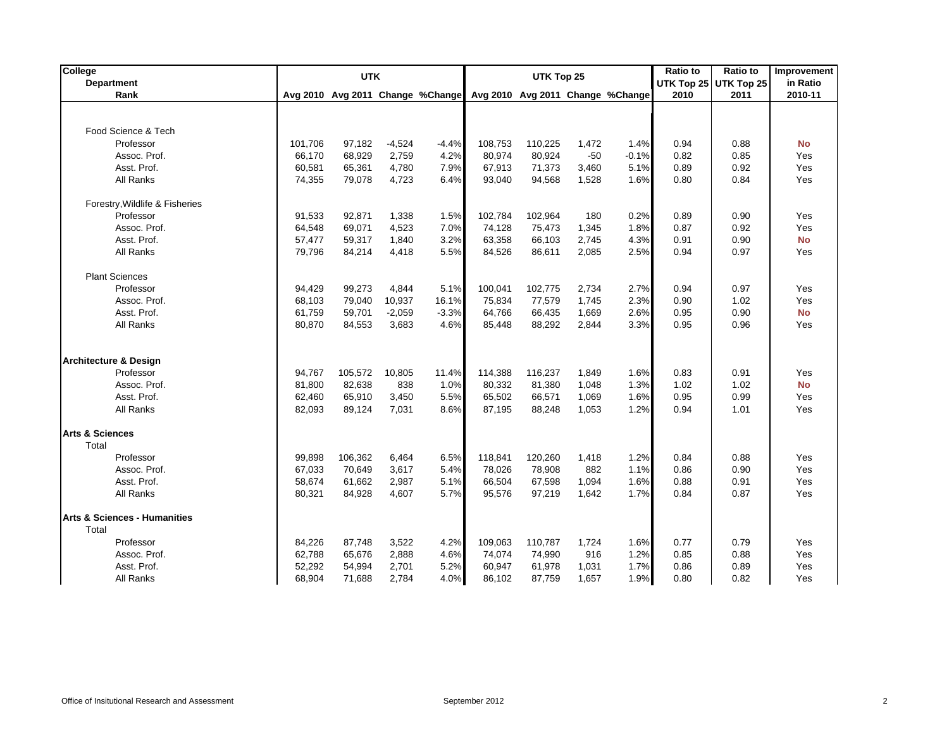| College                                 |         | <b>UTK</b> |          | <b>Ratio to</b><br>UTK Top 25 |                                                                   |         |       |         |      | <b>Ratio to</b>       | Improvement |
|-----------------------------------------|---------|------------|----------|-------------------------------|-------------------------------------------------------------------|---------|-------|---------|------|-----------------------|-------------|
| Department                              |         |            |          |                               |                                                                   |         |       |         |      | UTK Top 25 UTK Top 25 | in Ratio    |
| Rank                                    |         |            |          |                               | Avg 2010 Avg 2011 Change %Change Avg 2010 Avg 2011 Change %Change |         |       |         | 2010 | 2011                  | 2010-11     |
|                                         |         |            |          |                               |                                                                   |         |       |         |      |                       |             |
| Food Science & Tech                     |         |            |          |                               |                                                                   |         |       |         |      |                       |             |
|                                         |         |            |          |                               |                                                                   |         |       |         |      |                       |             |
| Professor                               | 101,706 | 97,182     | $-4,524$ | $-4.4%$                       | 108,753                                                           | 110,225 | 1,472 | 1.4%    | 0.94 | 0.88                  | <b>No</b>   |
| Assoc. Prof.                            | 66.170  | 68,929     | 2,759    | 4.2%                          | 80,974                                                            | 80,924  | $-50$ | $-0.1%$ | 0.82 | 0.85                  | Yes         |
| Asst. Prof.                             | 60,581  | 65,361     | 4,780    | 7.9%                          | 67,913                                                            | 71,373  | 3,460 | 5.1%    | 0.89 | 0.92                  | Yes         |
| All Ranks                               | 74,355  | 79,078     | 4,723    | 6.4%                          | 93,040                                                            | 94,568  | 1,528 | 1.6%    | 0.80 | 0.84                  | Yes         |
| Forestry, Wildlife & Fisheries          |         |            |          |                               |                                                                   |         |       |         |      |                       |             |
| Professor                               | 91,533  | 92,871     | 1,338    | 1.5%                          | 102,784                                                           | 102,964 | 180   | 0.2%    | 0.89 | 0.90                  | Yes         |
| Assoc. Prof.                            | 64,548  | 69,071     | 4,523    | 7.0%                          | 74,128                                                            | 75,473  | 1,345 | 1.8%    | 0.87 | 0.92                  | Yes         |
| Asst. Prof.                             | 57,477  | 59,317     | 1,840    | 3.2%                          | 63,358                                                            | 66,103  | 2,745 | 4.3%    | 0.91 | 0.90                  | <b>No</b>   |
| All Ranks                               | 79,796  | 84,214     | 4,418    | 5.5%                          | 84,526                                                            | 86,611  | 2,085 | 2.5%    | 0.94 | 0.97                  | Yes         |
|                                         |         |            |          |                               |                                                                   |         |       |         |      |                       |             |
| <b>Plant Sciences</b>                   |         |            |          |                               |                                                                   |         |       |         |      |                       |             |
| Professor                               | 94,429  | 99,273     | 4,844    | 5.1%                          | 100,041                                                           | 102,775 | 2,734 | 2.7%    | 0.94 | 0.97                  | Yes         |
| Assoc. Prof.                            | 68,103  | 79,040     | 10,937   | 16.1%                         | 75,834                                                            | 77,579  | 1,745 | 2.3%    | 0.90 | 1.02                  | Yes         |
| Asst. Prof.                             | 61.759  | 59,701     | $-2,059$ | $-3.3%$                       | 64,766                                                            | 66,435  | 1,669 | 2.6%    | 0.95 | 0.90                  | <b>No</b>   |
| All Ranks                               | 80,870  | 84,553     | 3,683    | 4.6%                          | 85,448                                                            | 88,292  | 2,844 | 3.3%    | 0.95 | 0.96                  | Yes         |
|                                         |         |            |          |                               |                                                                   |         |       |         |      |                       |             |
| <b>Architecture &amp; Design</b>        |         |            |          |                               |                                                                   |         |       |         |      |                       |             |
| Professor                               | 94,767  | 105,572    | 10,805   | 11.4%                         | 114,388                                                           | 116,237 | 1,849 | 1.6%    | 0.83 | 0.91                  | Yes         |
| Assoc. Prof.                            | 81,800  | 82,638     | 838      | 1.0%                          | 80,332                                                            | 81,380  | 1,048 | 1.3%    | 1.02 | 1.02                  | <b>No</b>   |
| Asst. Prof.                             | 62,460  | 65,910     | 3,450    | 5.5%                          | 65,502                                                            | 66,571  | 1,069 | 1.6%    | 0.95 | 0.99                  | Yes         |
| All Ranks                               | 82.093  | 89,124     | 7,031    | 8.6%                          | 87.195                                                            | 88,248  | 1,053 | 1.2%    | 0.94 | 1.01                  | Yes         |
|                                         |         |            |          |                               |                                                                   |         |       |         |      |                       |             |
| <b>Arts &amp; Sciences</b>              |         |            |          |                               |                                                                   |         |       |         |      |                       |             |
| Total                                   |         |            |          |                               |                                                                   |         |       |         |      |                       |             |
| Professor                               | 99.898  | 106,362    | 6,464    | 6.5%                          | 118,841                                                           | 120,260 | 1,418 | 1.2%    | 0.84 | 0.88                  | Yes         |
| Assoc. Prof.                            | 67,033  | 70,649     | 3,617    | 5.4%                          | 78,026                                                            | 78,908  | 882   | 1.1%    | 0.86 | 0.90                  | Yes         |
| Asst. Prof.                             | 58,674  | 61,662     | 2,987    | 5.1%                          | 66,504                                                            | 67,598  | 1,094 | 1.6%    | 0.88 | 0.91                  | Yes         |
| All Ranks                               | 80,321  | 84,928     | 4,607    | 5.7%                          | 95,576                                                            | 97,219  | 1,642 | 1.7%    | 0.84 | 0.87                  | Yes         |
| <b>Arts &amp; Sciences - Humanities</b> |         |            |          |                               |                                                                   |         |       |         |      |                       |             |
| Total                                   |         |            |          |                               |                                                                   |         |       |         |      |                       |             |
| Professor                               | 84,226  | 87,748     | 3,522    | 4.2%                          | 109,063                                                           | 110,787 | 1,724 | 1.6%    | 0.77 | 0.79                  | Yes         |
| Assoc. Prof.                            | 62,788  | 65,676     | 2,888    | 4.6%                          | 74,074                                                            | 74,990  | 916   | 1.2%    | 0.85 | 0.88                  | Yes         |
| Asst. Prof.                             | 52,292  | 54,994     | 2,701    | 5.2%                          | 60,947                                                            | 61,978  | 1,031 | 1.7%    | 0.86 | 0.89                  | Yes         |
| All Ranks                               | 68,904  | 71,688     | 2,784    | 4.0%                          | 86,102                                                            | 87,759  | 1,657 | 1.9%    | 0.80 | 0.82                  | Yes         |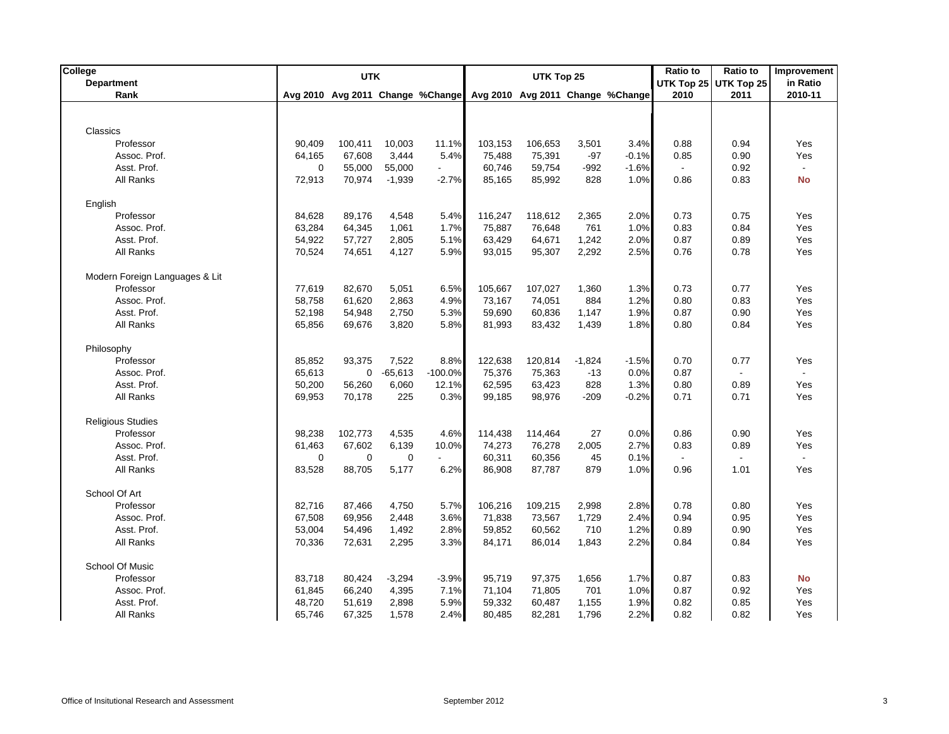| College<br><b>Department</b>   |                  | Ratio to<br><b>UTK</b><br>UTK Top 25<br>UTK Top 25<br>UTK Top 25 |                    |                                  |                   |                   |                   | <b>Ratio to</b>                  | Improvement<br>in Ratio |                          |                       |
|--------------------------------|------------------|------------------------------------------------------------------|--------------------|----------------------------------|-------------------|-------------------|-------------------|----------------------------------|-------------------------|--------------------------|-----------------------|
| Rank                           |                  |                                                                  |                    | Avg 2010 Avg 2011 Change %Change |                   |                   |                   | Avg 2010 Avg 2011 Change %Change | 2010                    | 2011                     | 2010-11               |
|                                |                  |                                                                  |                    |                                  |                   |                   |                   |                                  |                         |                          |                       |
|                                |                  |                                                                  |                    |                                  |                   |                   |                   |                                  |                         |                          |                       |
| Classics                       |                  |                                                                  |                    |                                  |                   |                   |                   |                                  |                         |                          |                       |
| Professor                      | 90,409           | 100,411                                                          | 10,003             | 11.1%                            | 103,153           | 106,653           | 3,501             | 3.4%                             | 0.88                    | 0.94                     | Yes                   |
| Assoc. Prof.                   | 64,165           | 67,608                                                           | 3,444              | 5.4%                             | 75,488            | 75,391            | $-97$             | $-0.1%$                          | 0.85                    | 0.90                     | Yes                   |
| Asst. Prof.                    | 0                | 55,000                                                           | 55,000             |                                  | 60,746            | 59,754            | $-992$            | $-1.6%$                          |                         | 0.92                     | $\blacksquare$        |
| All Ranks                      | 72,913           | 70,974                                                           | $-1,939$           | $-2.7%$                          | 85,165            | 85,992            | 828               | 1.0%                             | 0.86                    | 0.83                     | <b>No</b>             |
| English                        |                  |                                                                  |                    |                                  |                   |                   |                   |                                  |                         |                          |                       |
| Professor                      | 84,628           | 89,176                                                           | 4,548              | 5.4%                             | 116,247           | 118,612           | 2,365             | 2.0%                             | 0.73                    | 0.75                     | Yes                   |
| Assoc. Prof.                   | 63,284           | 64,345                                                           | 1,061              | 1.7%                             | 75,887            | 76,648            | 761               | 1.0%                             | 0.83                    | 0.84                     | Yes                   |
| Asst. Prof.                    | 54,922           | 57,727                                                           | 2,805              | 5.1%                             | 63,429            | 64,671            | 1,242             | 2.0%                             | 0.87                    | 0.89                     | Yes                   |
| All Ranks                      | 70,524           | 74,651                                                           | 4,127              | 5.9%                             | 93,015            | 95,307            | 2,292             | 2.5%                             | 0.76                    | 0.78                     | Yes                   |
|                                |                  |                                                                  |                    |                                  |                   |                   |                   |                                  |                         |                          |                       |
| Modern Foreign Languages & Lit |                  |                                                                  |                    |                                  |                   |                   |                   |                                  |                         |                          |                       |
| Professor                      | 77,619           | 82,670                                                           | 5,051              | 6.5%                             | 105,667           | 107,027           | 1,360             | 1.3%                             | 0.73                    | 0.77                     | Yes                   |
| Assoc. Prof.                   | 58,758           | 61,620                                                           | 2,863              | 4.9%                             | 73,167            | 74,051            | 884               | 1.2%                             | 0.80                    | 0.83                     | Yes                   |
| Asst. Prof.                    | 52,198           | 54,948                                                           | 2,750              | 5.3%                             | 59,690            | 60,836            | 1,147             | 1.9%                             | 0.87                    | 0.90                     | Yes                   |
| All Ranks                      | 65,856           | 69,676                                                           | 3,820              | 5.8%                             | 81,993            | 83,432            | 1,439             | 1.8%                             | 0.80                    | 0.84                     | Yes                   |
|                                |                  |                                                                  |                    |                                  |                   |                   |                   |                                  |                         |                          |                       |
| Philosophy                     |                  |                                                                  |                    |                                  |                   |                   |                   |                                  |                         |                          |                       |
| Professor<br>Assoc. Prof.      | 85,852<br>65,613 | 93,375<br>$\mathbf 0$                                            | 7,522<br>$-65,613$ | 8.8%<br>$-100.0%$                | 122,638<br>75,376 | 120,814<br>75,363 | $-1.824$<br>$-13$ | $-1.5%$<br>0.0%                  | 0.70<br>0.87            | 0.77                     | Yes<br>$\blacksquare$ |
| Asst. Prof.                    | 50,200           | 56,260                                                           | 6,060              | 12.1%                            | 62,595            | 63,423            | 828               | 1.3%                             | 0.80                    | 0.89                     | Yes                   |
| All Ranks                      | 69,953           | 70,178                                                           | 225                | 0.3%                             | 99,185            | 98,976            | $-209$            | $-0.2%$                          | 0.71                    | 0.71                     | Yes                   |
|                                |                  |                                                                  |                    |                                  |                   |                   |                   |                                  |                         |                          |                       |
| <b>Religious Studies</b>       |                  |                                                                  |                    |                                  |                   |                   |                   |                                  |                         |                          |                       |
| Professor                      | 98,238           | 102,773                                                          | 4,535              | 4.6%                             | 114,438           | 114,464           | 27                | 0.0%                             | 0.86                    | 0.90                     | Yes                   |
| Assoc. Prof.                   | 61,463           | 67,602                                                           | 6,139              | 10.0%                            | 74,273            | 76,278            | 2,005             | 2.7%                             | 0.83                    | 0.89                     | Yes                   |
| Asst. Prof.                    | 0                | $\mathbf 0$                                                      | $\mathbf 0$        |                                  | 60,311            | 60,356            | 45                | 0.1%                             |                         | $\overline{\phantom{a}}$ | $\mathbb{L}^+$        |
| All Ranks                      | 83,528           | 88,705                                                           | 5,177              | 6.2%                             | 86,908            | 87,787            | 879               | 1.0%                             | 0.96                    | 1.01                     | Yes                   |
| School Of Art                  |                  |                                                                  |                    |                                  |                   |                   |                   |                                  |                         |                          |                       |
| Professor                      | 82,716           | 87,466                                                           | 4,750              | 5.7%                             | 106,216           | 109,215           | 2,998             | 2.8%                             | 0.78                    | 0.80                     | Yes                   |
| Assoc. Prof.                   | 67,508           | 69,956                                                           | 2,448              | 3.6%                             | 71,838            | 73,567            | 1,729             | 2.4%                             | 0.94                    | 0.95                     | Yes                   |
| Asst. Prof.                    | 53,004           | 54,496                                                           | 1,492              | 2.8%                             | 59,852            | 60,562            | 710               | 1.2%                             | 0.89                    | 0.90                     | Yes                   |
| All Ranks                      | 70,336           | 72,631                                                           | 2,295              | 3.3%                             | 84,171            | 86,014            | 1,843             | 2.2%                             | 0.84                    | 0.84                     | Yes                   |
|                                |                  |                                                                  |                    |                                  |                   |                   |                   |                                  |                         |                          |                       |
| School Of Music                |                  |                                                                  |                    |                                  |                   |                   |                   |                                  |                         |                          |                       |
| Professor                      | 83,718           | 80,424                                                           | $-3,294$           | $-3.9%$                          | 95,719            | 97,375            | 1,656             | 1.7%                             | 0.87                    | 0.83                     | No                    |
| Assoc. Prof.                   | 61,845           | 66,240                                                           | 4,395              | 7.1%                             | 71,104            | 71,805            | 701               | 1.0%                             | 0.87                    | 0.92                     | Yes                   |
| Asst. Prof.                    | 48,720           | 51,619                                                           | 2,898              | 5.9%                             | 59,332            | 60,487            | 1,155             | 1.9%                             | 0.82                    | 0.85                     | Yes                   |
| All Ranks                      | 65,746           | 67,325                                                           | 1,578              | 2.4%                             | 80,485            | 82,281            | 1,796             | 2.2%                             | 0.82                    | 0.82                     | Yes                   |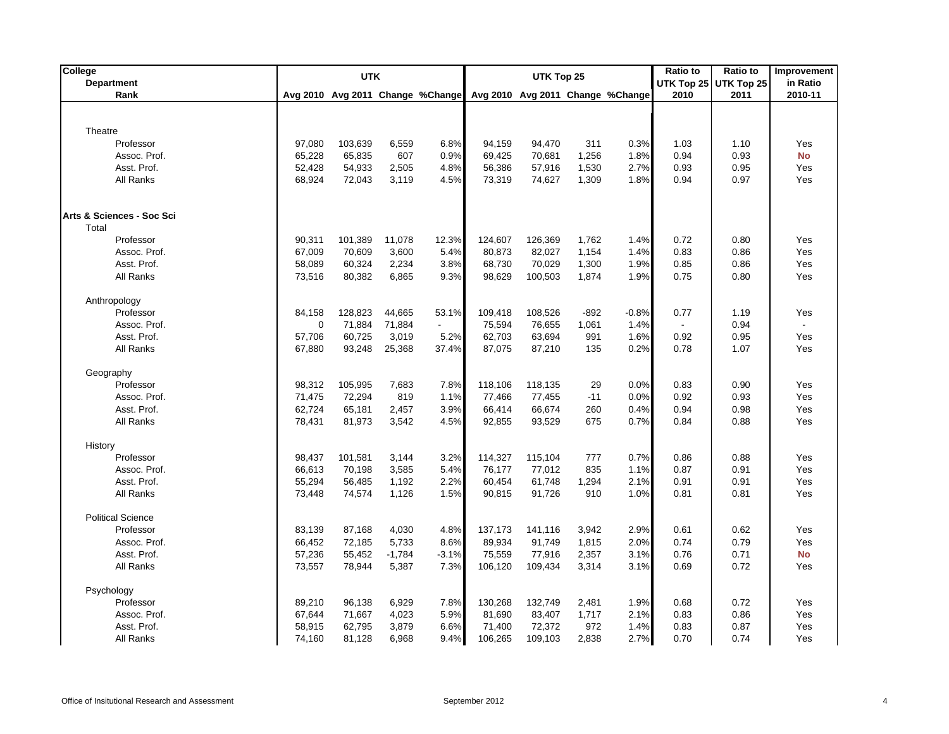| College                   |             | <b>UTK</b>                       |          |                |         | UTK Top 25 |        |                                  | Ratio to | <b>Ratio to</b>       | Improvement               |
|---------------------------|-------------|----------------------------------|----------|----------------|---------|------------|--------|----------------------------------|----------|-----------------------|---------------------------|
| <b>Department</b>         |             |                                  |          |                |         |            |        |                                  |          | UTK Top 25 UTK Top 25 | in Ratio                  |
| Rank                      |             | Avg 2010 Avg 2011 Change %Change |          |                |         |            |        | Avg 2010 Avg 2011 Change %Change | 2010     | 2011                  | 2010-11                   |
|                           |             |                                  |          |                |         |            |        |                                  |          |                       |                           |
| Theatre                   |             |                                  |          |                |         |            |        |                                  |          |                       |                           |
| Professor                 | 97,080      | 103,639                          | 6,559    | 6.8%           | 94,159  | 94,470     | 311    | 0.3%                             | 1.03     | 1.10                  | Yes                       |
| Assoc. Prof.              | 65,228      | 65,835                           | 607      | 0.9%           | 69,425  | 70,681     | 1,256  | 1.8%                             | 0.94     | 0.93                  | <b>No</b>                 |
| Asst. Prof.               | 52,428      | 54,933                           | 2,505    | 4.8%           | 56,386  | 57,916     | 1,530  | 2.7%                             | 0.93     | 0.95                  | Yes                       |
| All Ranks                 | 68,924      | 72,043                           | 3,119    | 4.5%           | 73,319  | 74,627     | 1,309  | 1.8%                             | 0.94     | 0.97                  | Yes                       |
|                           |             |                                  |          |                |         |            |        |                                  |          |                       |                           |
| Arts & Sciences - Soc Sci |             |                                  |          |                |         |            |        |                                  |          |                       |                           |
| Total                     |             |                                  |          |                |         |            |        |                                  |          |                       |                           |
| Professor                 | 90,311      | 101,389                          | 11,078   | 12.3%          | 124,607 | 126,369    | 1,762  | 1.4%                             | 0.72     | 0.80                  | Yes                       |
| Assoc. Prof.              | 67,009      | 70,609                           | 3,600    | 5.4%           | 80,873  | 82,027     | 1,154  | 1.4%                             | 0.83     | 0.86                  | Yes                       |
| Asst. Prof.               | 58,089      | 60,324                           | 2,234    | 3.8%           | 68,730  | 70,029     | 1,300  | 1.9%                             | 0.85     | 0.86                  | Yes                       |
| All Ranks                 | 73,516      | 80,382                           | 6,865    | 9.3%           | 98,629  | 100,503    | 1,874  | 1.9%                             | 0.75     | 0.80                  | Yes                       |
|                           |             |                                  |          |                |         |            |        |                                  |          |                       |                           |
| Anthropology              |             |                                  |          |                |         |            |        |                                  |          |                       |                           |
| Professor                 | 84,158      | 128,823                          | 44,665   | 53.1%          | 109,418 | 108,526    | $-892$ | $-0.8%$                          | 0.77     | 1.19                  | Yes                       |
| Assoc. Prof.              | $\mathbf 0$ | 71,884                           | 71,884   | $\blacksquare$ | 75,594  | 76,655     | 1,061  | 1.4%                             |          | 0.94                  | $\mathbb{Z}^{\mathbb{Z}}$ |
| Asst. Prof.               | 57,706      | 60,725                           | 3,019    | 5.2%           | 62,703  | 63,694     | 991    | 1.6%                             | 0.92     | 0.95                  | Yes                       |
| All Ranks                 | 67,880      | 93,248                           | 25,368   | 37.4%          | 87,075  | 87,210     | 135    | 0.2%                             | 0.78     | 1.07                  | Yes                       |
| Geography                 |             |                                  |          |                |         |            |        |                                  |          |                       |                           |
| Professor                 | 98,312      | 105,995                          | 7,683    | 7.8%           | 118,106 | 118,135    | 29     | 0.0%                             | 0.83     | 0.90                  | Yes                       |
| Assoc. Prof.              | 71,475      | 72,294                           | 819      | 1.1%           | 77,466  | 77,455     | $-11$  | 0.0%                             | 0.92     | 0.93                  | Yes                       |
| Asst. Prof.               | 62,724      | 65,181                           | 2,457    | 3.9%           | 66,414  | 66,674     | 260    | 0.4%                             | 0.94     | 0.98                  | Yes                       |
| All Ranks                 | 78,431      | 81,973                           | 3,542    | 4.5%           | 92,855  | 93,529     | 675    | 0.7%                             | 0.84     | 0.88                  | Yes                       |
| History                   |             |                                  |          |                |         |            |        |                                  |          |                       |                           |
| Professor                 | 98,437      | 101,581                          | 3,144    | 3.2%           | 114,327 | 115,104    | 777    | 0.7%                             | 0.86     | 0.88                  | Yes                       |
| Assoc. Prof.              | 66,613      | 70,198                           | 3,585    | 5.4%           | 76,177  | 77,012     | 835    | 1.1%                             | 0.87     | 0.91                  | Yes                       |
| Asst. Prof.               | 55,294      | 56,485                           | 1,192    | 2.2%           | 60,454  | 61,748     | 1,294  | 2.1%                             | 0.91     | 0.91                  | Yes                       |
| All Ranks                 | 73,448      | 74,574                           | 1,126    | 1.5%           | 90,815  | 91,726     | 910    | 1.0%                             | 0.81     | 0.81                  | Yes                       |
| <b>Political Science</b>  |             |                                  |          |                |         |            |        |                                  |          |                       |                           |
| Professor                 | 83,139      | 87,168                           | 4,030    | 4.8%           | 137,173 | 141,116    | 3,942  | 2.9%                             | 0.61     | 0.62                  | Yes                       |
| Assoc. Prof.              | 66,452      | 72,185                           | 5,733    | 8.6%           | 89,934  | 91,749     | 1,815  | 2.0%                             | 0.74     | 0.79                  | Yes                       |
| Asst. Prof.               | 57,236      | 55,452                           | $-1,784$ | $-3.1%$        | 75,559  | 77,916     | 2,357  | 3.1%                             | 0.76     | 0.71                  | <b>No</b>                 |
| All Ranks                 | 73,557      | 78,944                           | 5,387    | 7.3%           | 106,120 | 109,434    | 3,314  | 3.1%                             | 0.69     | 0.72                  | Yes                       |
| Psychology                |             |                                  |          |                |         |            |        |                                  |          |                       |                           |
| Professor                 | 89,210      | 96,138                           | 6,929    | 7.8%           | 130,268 | 132,749    | 2,481  | 1.9%                             | 0.68     | 0.72                  | Yes                       |
| Assoc. Prof.              | 67,644      | 71,667                           | 4,023    | 5.9%           | 81,690  | 83,407     | 1,717  | 2.1%                             | 0.83     | 0.86                  | Yes                       |
| Asst. Prof.               | 58,915      | 62,795                           | 3,879    | 6.6%           | 71,400  | 72,372     | 972    | 1.4%                             | 0.83     | 0.87                  | Yes                       |
| All Ranks                 | 74,160      | 81,128                           | 6,968    | 9.4%           | 106,265 | 109,103    | 2,838  | 2.7%                             | 0.70     | 0.74                  | Yes                       |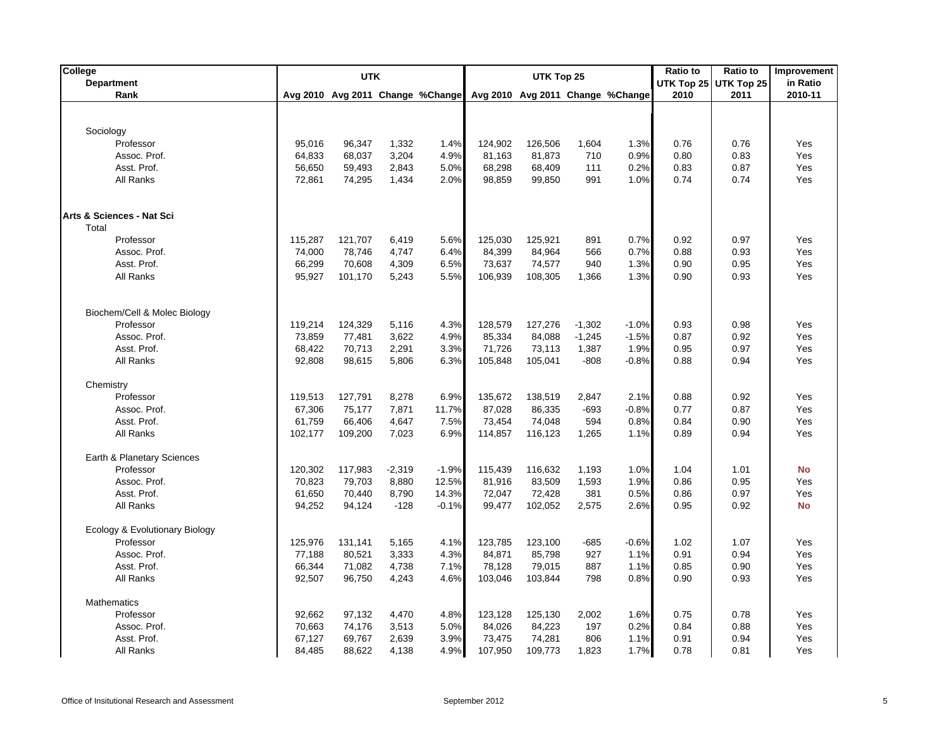| College                        |         | <b>UTK</b> |          |                                  | UTK Top 25 |         |          |                                  | Ratio to           | <b>Ratio to</b> | Improvement |
|--------------------------------|---------|------------|----------|----------------------------------|------------|---------|----------|----------------------------------|--------------------|-----------------|-------------|
| <b>Department</b>              |         |            |          |                                  |            |         |          |                                  | UTK Top 25<br>2010 | UTK Top 25      | in Ratio    |
| Rank                           |         |            |          | Avg 2010 Avg 2011 Change %Change |            |         |          | Avg 2010 Avg 2011 Change %Change |                    | 2011            | 2010-11     |
|                                |         |            |          |                                  |            |         |          |                                  |                    |                 |             |
| Sociology                      |         |            |          |                                  |            |         |          |                                  |                    |                 |             |
| Professor                      | 95,016  | 96,347     | 1,332    | 1.4%                             | 124,902    | 126,506 | 1,604    | 1.3%                             | 0.76               | 0.76            | Yes         |
| Assoc. Prof.                   | 64,833  | 68,037     | 3,204    | 4.9%                             | 81,163     | 81,873  | 710      | 0.9%                             | 0.80               | 0.83            | Yes         |
| Asst. Prof.                    | 56,650  | 59,493     | 2,843    | 5.0%                             | 68,298     | 68,409  | 111      | 0.2%                             | 0.83               | 0.87            | Yes         |
| All Ranks                      | 72,861  | 74,295     | 1,434    | 2.0%                             | 98,859     | 99,850  | 991      | 1.0%                             | 0.74               | 0.74            | Yes         |
|                                |         |            |          |                                  |            |         |          |                                  |                    |                 |             |
|                                |         |            |          |                                  |            |         |          |                                  |                    |                 |             |
| Arts & Sciences - Nat Sci      |         |            |          |                                  |            |         |          |                                  |                    |                 |             |
| Total                          |         |            |          |                                  |            |         |          |                                  |                    |                 |             |
| Professor                      | 115,287 | 121,707    | 6,419    | 5.6%                             | 125,030    | 125,921 | 891      | 0.7%                             | 0.92               | 0.97            | Yes         |
| Assoc. Prof.                   | 74,000  | 78,746     | 4,747    | 6.4%                             | 84,399     | 84,964  | 566      | 0.7%                             | 0.88               | 0.93            | Yes         |
| Asst. Prof.                    | 66,299  | 70,608     | 4,309    | 6.5%                             | 73,637     | 74,577  | 940      | 1.3%                             | 0.90               | 0.95            | Yes         |
| All Ranks                      | 95,927  | 101,170    | 5,243    | 5.5%                             | 106,939    | 108,305 | 1,366    | 1.3%                             | 0.90               | 0.93            | Yes         |
|                                |         |            |          |                                  |            |         |          |                                  |                    |                 |             |
|                                |         |            |          |                                  |            |         |          |                                  |                    |                 |             |
| Biochem/Cell & Molec Biology   |         |            |          |                                  |            |         |          |                                  |                    |                 |             |
| Professor                      | 119,214 | 124,329    | 5,116    | 4.3%                             | 128,579    | 127,276 | $-1,302$ | $-1.0%$                          | 0.93               | 0.98            | Yes         |
| Assoc. Prof.                   | 73,859  | 77,481     | 3,622    | 4.9%                             | 85,334     | 84,088  | $-1,245$ | $-1.5%$                          | 0.87               | 0.92            | Yes         |
| Asst. Prof.                    | 68,422  | 70,713     | 2,291    | 3.3%                             | 71,726     | 73,113  | 1,387    | 1.9%                             | 0.95               | 0.97            | Yes         |
| All Ranks                      | 92,808  | 98,615     | 5,806    | 6.3%                             | 105,848    | 105,041 | $-808$   | $-0.8%$                          | 0.88               | 0.94            | Yes         |
|                                |         |            |          |                                  |            |         |          |                                  |                    |                 |             |
| Chemistry                      |         |            |          |                                  |            |         |          |                                  |                    |                 |             |
| Professor                      | 119,513 | 127,791    | 8,278    | 6.9%                             | 135,672    | 138,519 | 2,847    | 2.1%                             | 0.88               | 0.92            | Yes         |
| Assoc. Prof.                   | 67,306  | 75,177     | 7,871    | 11.7%                            | 87,028     | 86,335  | $-693$   | $-0.8%$                          | 0.77               | 0.87            | Yes         |
| Asst. Prof.                    | 61,759  | 66,406     | 4,647    | 7.5%                             | 73,454     | 74,048  | 594      | 0.8%                             | 0.84               | 0.90            | Yes         |
| All Ranks                      | 102,177 | 109,200    | 7,023    | 6.9%                             | 114,857    | 116,123 | 1,265    | 1.1%                             | 0.89               | 0.94            | Yes         |
|                                |         |            |          |                                  |            |         |          |                                  |                    |                 |             |
| Earth & Planetary Sciences     |         |            |          |                                  |            |         |          |                                  |                    |                 |             |
| Professor                      | 120,302 | 117,983    | $-2,319$ | $-1.9%$                          | 115,439    | 116,632 | 1,193    | 1.0%                             | 1.04               | 1.01            | <b>No</b>   |
| Assoc. Prof.                   | 70,823  | 79,703     | 8,880    | 12.5%                            | 81,916     | 83,509  | 1,593    | 1.9%                             | 0.86               | 0.95            | Yes         |
| Asst. Prof.                    | 61,650  | 70,440     | 8,790    | 14.3%                            | 72,047     | 72,428  | 381      | 0.5%                             | 0.86               | 0.97            | Yes         |
| All Ranks                      | 94,252  | 94,124     | $-128$   | $-0.1%$                          | 99,477     | 102,052 | 2,575    | 2.6%                             | 0.95               | 0.92            | <b>No</b>   |
|                                |         |            |          |                                  |            |         |          |                                  |                    |                 |             |
| Ecology & Evolutionary Biology |         |            |          |                                  |            |         |          |                                  |                    |                 |             |
| Professor                      | 125,976 | 131,141    | 5,165    | 4.1%                             | 123,785    | 123,100 | $-685$   | $-0.6%$                          | 1.02               | 1.07            | Yes         |
| Assoc. Prof.                   | 77,188  | 80,521     | 3,333    | 4.3%                             | 84.871     | 85,798  | 927      | 1.1%                             | 0.91               | 0.94            | Yes         |
| Asst. Prof.                    | 66,344  | 71,082     | 4,738    | 7.1%                             | 78,128     | 79,015  | 887      | 1.1%                             | 0.85               | 0.90            | Yes         |
| <b>All Ranks</b>               | 92,507  | 96,750     | 4,243    | 4.6%                             | 103,046    | 103,844 | 798      | 0.8%                             | 0.90               | 0.93            | Yes         |
|                                |         |            |          |                                  |            |         |          |                                  |                    |                 |             |
| <b>Mathematics</b>             |         |            |          |                                  |            |         |          |                                  |                    |                 |             |
| Professor                      | 92,662  | 97,132     | 4,470    | 4.8%                             | 123,128    | 125,130 | 2,002    | 1.6%                             | 0.75               | 0.78            | Yes         |
| Assoc. Prof.                   | 70,663  | 74,176     | 3,513    | 5.0%                             | 84,026     | 84,223  | 197      | 0.2%                             | 0.84               | 0.88            | Yes         |
| Asst. Prof.                    | 67,127  | 69,767     | 2,639    | 3.9%                             | 73,475     | 74,281  | 806      | 1.1%                             | 0.91               | 0.94            | Yes         |
| All Ranks                      | 84,485  | 88,622     | 4,138    | 4.9%                             | 107,950    | 109,773 | 1,823    | 1.7%                             | 0.78               | 0.81            | Yes         |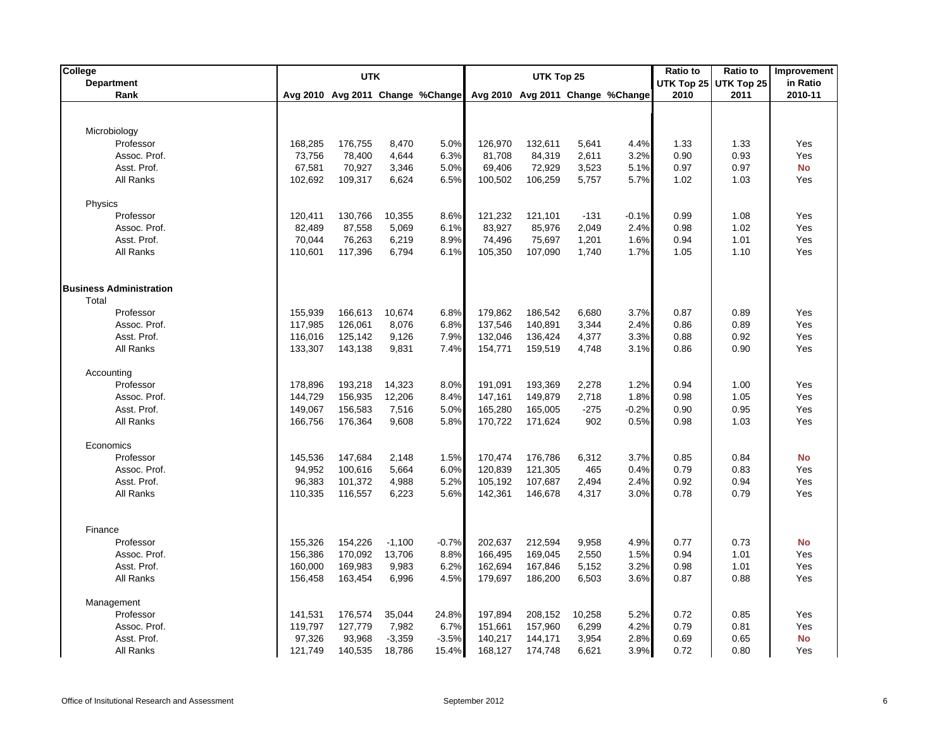| College                        |         | <b>UTK</b> |          |                                  | UTK Top 25 |         |        |                                  | <b>Ratio to</b>    | <b>Ratio to</b>    | <b>Improvement</b>  |
|--------------------------------|---------|------------|----------|----------------------------------|------------|---------|--------|----------------------------------|--------------------|--------------------|---------------------|
| <b>Department</b><br>Rank      |         |            |          | Avg 2010 Avg 2011 Change %Change |            |         |        | Avg 2010 Avg 2011 Change %Change | UTK Top 25<br>2010 | UTK Top 25<br>2011 | in Ratio<br>2010-11 |
|                                |         |            |          |                                  |            |         |        |                                  |                    |                    |                     |
|                                |         |            |          |                                  |            |         |        |                                  |                    |                    |                     |
| Microbiology                   |         |            |          |                                  |            |         |        |                                  |                    |                    |                     |
| Professor                      | 168,285 | 176,755    | 8,470    | 5.0%                             | 126,970    | 132,611 | 5,641  | 4.4%                             | 1.33               | 1.33               | Yes                 |
| Assoc. Prof.                   | 73,756  | 78,400     | 4,644    | 6.3%                             | 81,708     | 84,319  | 2,611  | 3.2%                             | 0.90               | 0.93               | Yes                 |
| Asst. Prof.                    | 67,581  | 70,927     | 3,346    | 5.0%                             | 69,406     | 72,929  | 3,523  | 5.1%                             | 0.97               | 0.97               | <b>No</b>           |
| All Ranks                      | 102,692 | 109,317    | 6,624    | 6.5%                             | 100,502    | 106,259 | 5,757  | 5.7%                             | 1.02               | 1.03               | Yes                 |
| Physics                        |         |            |          |                                  |            |         |        |                                  |                    |                    |                     |
| Professor                      | 120,411 | 130,766    | 10,355   | 8.6%                             | 121,232    | 121,101 | $-131$ | $-0.1%$                          | 0.99               | 1.08               | Yes                 |
| Assoc. Prof.                   | 82,489  | 87,558     | 5,069    | 6.1%                             | 83,927     | 85,976  | 2,049  | 2.4%                             | 0.98               | 1.02               | Yes                 |
| Asst. Prof.                    | 70,044  | 76,263     | 6,219    | 8.9%                             | 74,496     | 75,697  | 1,201  | 1.6%                             | 0.94               | 1.01               | Yes                 |
| All Ranks                      | 110,601 | 117,396    | 6,794    | 6.1%                             | 105,350    | 107,090 | 1,740  | 1.7%                             | 1.05               | 1.10               | Yes                 |
|                                |         |            |          |                                  |            |         |        |                                  |                    |                    |                     |
| <b>Business Administration</b> |         |            |          |                                  |            |         |        |                                  |                    |                    |                     |
| Total                          |         |            |          |                                  |            |         |        |                                  |                    |                    |                     |
| Professor                      | 155,939 | 166,613    | 10,674   | 6.8%                             | 179,862    | 186,542 | 6,680  | 3.7%                             | 0.87               | 0.89               | Yes                 |
| Assoc. Prof.                   | 117,985 | 126,061    | 8,076    | 6.8%                             | 137,546    | 140,891 | 3,344  | 2.4%                             | 0.86               | 0.89               | Yes                 |
| Asst. Prof.                    | 116,016 | 125,142    | 9,126    | 7.9%                             | 132,046    | 136,424 | 4,377  | 3.3%                             | 0.88               | 0.92               | Yes                 |
| All Ranks                      | 133,307 | 143,138    | 9,831    | 7.4%                             | 154,771    | 159,519 | 4,748  | 3.1%                             | 0.86               | 0.90               | Yes                 |
| Accounting                     |         |            |          |                                  |            |         |        |                                  |                    |                    |                     |
| Professor                      | 178,896 | 193,218    | 14,323   | 8.0%                             | 191,091    | 193,369 | 2,278  | 1.2%                             | 0.94               | 1.00               | Yes                 |
| Assoc. Prof.                   | 144,729 | 156,935    | 12,206   | 8.4%                             | 147,161    | 149,879 | 2,718  | 1.8%                             | 0.98               | 1.05               | Yes                 |
| Asst. Prof.                    | 149,067 | 156,583    | 7,516    | 5.0%                             | 165,280    | 165,005 | $-275$ | $-0.2%$                          | 0.90               | 0.95               | Yes                 |
| All Ranks                      | 166,756 | 176,364    | 9,608    | 5.8%                             | 170,722    | 171,624 | 902    | 0.5%                             | 0.98               | 1.03               | Yes                 |
| Economics                      |         |            |          |                                  |            |         |        |                                  |                    |                    |                     |
| Professor                      | 145,536 | 147,684    | 2,148    | 1.5%                             | 170,474    | 176,786 | 6,312  | 3.7%                             | 0.85               | 0.84               | <b>No</b>           |
| Assoc. Prof.                   | 94,952  | 100,616    | 5,664    | 6.0%                             | 120,839    | 121,305 | 465    | 0.4%                             | 0.79               | 0.83               | Yes                 |
| Asst. Prof.                    | 96,383  | 101,372    | 4,988    | 5.2%                             | 105,192    | 107,687 | 2,494  | 2.4%                             | 0.92               | 0.94               | Yes                 |
| All Ranks                      | 110,335 | 116,557    | 6,223    | 5.6%                             | 142,361    | 146,678 | 4,317  | 3.0%                             | 0.78               | 0.79               | Yes                 |
|                                |         |            |          |                                  |            |         |        |                                  |                    |                    |                     |
| Finance<br>Professor           |         |            |          |                                  |            |         |        |                                  |                    | 0.73               | <b>No</b>           |
|                                | 155,326 | 154,226    | $-1,100$ | $-0.7%$                          | 202,637    | 212,594 | 9,958  | 4.9%                             | 0.77               |                    | Yes                 |
| Assoc. Prof.                   | 156,386 | 170,092    | 13,706   | 8.8%                             | 166,495    | 169,045 | 2,550  | 1.5%                             | 0.94               | 1.01               |                     |
| Asst. Prof.                    | 160,000 | 169,983    | 9,983    | 6.2%                             | 162,694    | 167,846 | 5,152  | 3.2%                             | 0.98               | 1.01               | Yes<br>Yes          |
| <b>All Ranks</b>               | 156,458 | 163,454    | 6,996    | 4.5%                             | 179,697    | 186,200 | 6,503  | 3.6%                             | 0.87               | 0.88               |                     |
| Management                     |         |            |          |                                  |            |         |        |                                  |                    |                    |                     |
| Professor                      | 141,531 | 176,574    | 35,044   | 24.8%                            | 197,894    | 208,152 | 10,258 | 5.2%                             | 0.72               | 0.85               | Yes                 |
| Assoc. Prof.                   | 119,797 | 127,779    | 7,982    | 6.7%                             | 151,661    | 157,960 | 6,299  | 4.2%                             | 0.79               | 0.81               | Yes                 |
| Asst. Prof.                    | 97,326  | 93,968     | $-3,359$ | $-3.5%$                          | 140,217    | 144,171 | 3,954  | 2.8%                             | 0.69               | 0.65               | No                  |
| All Ranks                      | 121,749 | 140,535    | 18,786   | 15.4%                            | 168,127    | 174,748 | 6,621  | 3.9%                             | 0.72               | 0.80               | Yes                 |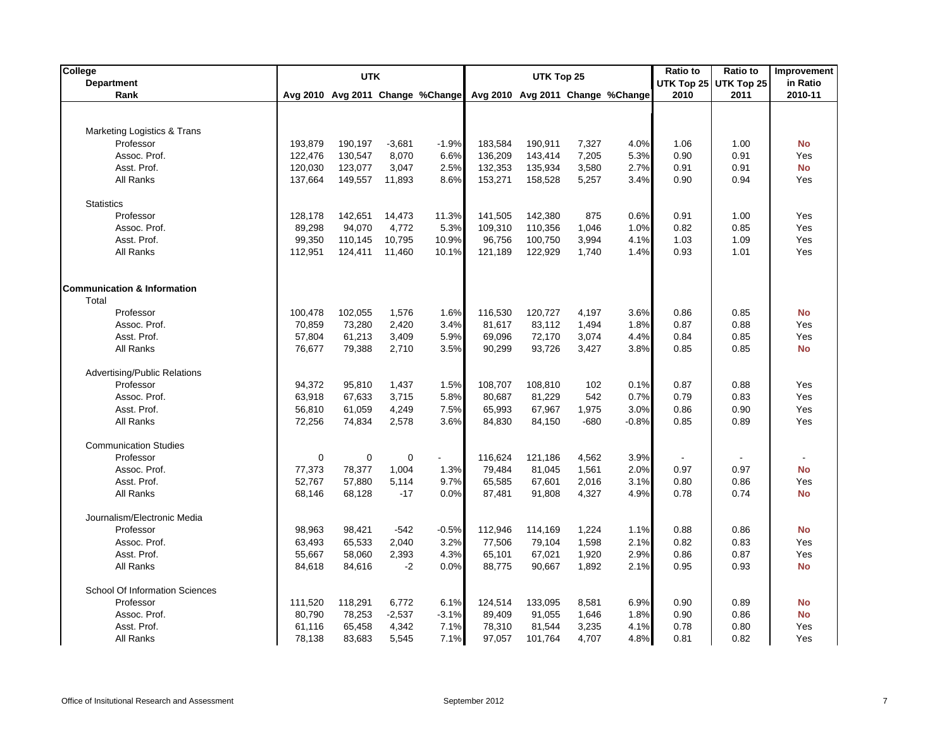| College<br><b>Department</b>           |         | <b>UTK</b> |          |                                  | UTK Top 25                       |         |        |         | Ratio to<br>UTK Top 25 UTK Top 25 |      |           |  |  | <b>Ratio to</b> | Improvement<br>in Ratio |
|----------------------------------------|---------|------------|----------|----------------------------------|----------------------------------|---------|--------|---------|-----------------------------------|------|-----------|--|--|-----------------|-------------------------|
| Rank                                   |         |            |          | Avg 2010 Avg 2011 Change %Change | Avg 2010 Avg 2011 Change %Change |         |        |         | 2010                              | 2011 | 2010-11   |  |  |                 |                         |
|                                        |         |            |          |                                  |                                  |         |        |         |                                   |      |           |  |  |                 |                         |
|                                        |         |            |          |                                  |                                  |         |        |         |                                   |      |           |  |  |                 |                         |
| Marketing Logistics & Trans            |         |            |          |                                  |                                  |         |        |         |                                   |      |           |  |  |                 |                         |
| Professor                              | 193,879 | 190,197    | $-3,681$ | $-1.9%$                          | 183,584                          | 190,911 | 7,327  | 4.0%    | 1.06                              | 1.00 | <b>No</b> |  |  |                 |                         |
| Assoc. Prof.                           | 122,476 | 130,547    | 8,070    | 6.6%                             | 136,209                          | 143,414 | 7,205  | 5.3%    | 0.90                              | 0.91 | Yes       |  |  |                 |                         |
| Asst. Prof.                            | 120,030 | 123,077    | 3,047    | 2.5%                             | 132,353                          | 135,934 | 3,580  | 2.7%    | 0.91                              | 0.91 | <b>No</b> |  |  |                 |                         |
| All Ranks                              | 137,664 | 149,557    | 11,893   | 8.6%                             | 153,271                          | 158,528 | 5,257  | 3.4%    | 0.90                              | 0.94 | Yes       |  |  |                 |                         |
| <b>Statistics</b>                      |         |            |          |                                  |                                  |         |        |         |                                   |      |           |  |  |                 |                         |
| Professor                              | 128,178 | 142,651    | 14,473   | 11.3%                            | 141,505                          | 142,380 | 875    | 0.6%    | 0.91                              | 1.00 | Yes       |  |  |                 |                         |
| Assoc. Prof.                           | 89,298  | 94,070     | 4,772    | 5.3%                             | 109,310                          | 110,356 | 1,046  | 1.0%    | 0.82                              | 0.85 | Yes       |  |  |                 |                         |
| Asst. Prof.                            | 99,350  | 110,145    | 10,795   | 10.9%                            | 96,756                           | 100,750 | 3,994  | 4.1%    | 1.03                              | 1.09 | Yes       |  |  |                 |                         |
| All Ranks                              | 112,951 | 124,411    | 11,460   | 10.1%                            | 121,189                          | 122,929 | 1,740  | 1.4%    | 0.93                              | 1.01 | Yes       |  |  |                 |                         |
|                                        |         |            |          |                                  |                                  |         |        |         |                                   |      |           |  |  |                 |                         |
| <b>Communication &amp; Information</b> |         |            |          |                                  |                                  |         |        |         |                                   |      |           |  |  |                 |                         |
| Total                                  |         |            |          |                                  |                                  |         |        |         |                                   |      |           |  |  |                 |                         |
| Professor                              | 100,478 | 102,055    | 1,576    | 1.6%                             | 116,530                          | 120,727 | 4,197  | 3.6%    | 0.86                              | 0.85 | <b>No</b> |  |  |                 |                         |
| Assoc. Prof.                           | 70,859  | 73,280     | 2,420    | 3.4%                             | 81,617                           | 83,112  | 1,494  | 1.8%    | 0.87                              | 0.88 | Yes       |  |  |                 |                         |
| Asst. Prof.                            | 57,804  | 61,213     | 3,409    | 5.9%                             | 69,096                           | 72,170  | 3,074  | 4.4%    | 0.84                              | 0.85 | Yes       |  |  |                 |                         |
| All Ranks                              | 76,677  | 79,388     | 2,710    | 3.5%                             | 90,299                           | 93,726  | 3,427  | 3.8%    | 0.85                              | 0.85 | <b>No</b> |  |  |                 |                         |
| Advertising/Public Relations           |         |            |          |                                  |                                  |         |        |         |                                   |      |           |  |  |                 |                         |
| Professor                              | 94,372  | 95,810     | 1,437    | 1.5%                             | 108,707                          | 108,810 | 102    | 0.1%    | 0.87                              | 0.88 | Yes       |  |  |                 |                         |
| Assoc. Prof.                           | 63,918  | 67,633     | 3,715    | 5.8%                             | 80,687                           | 81,229  | 542    | 0.7%    | 0.79                              | 0.83 | Yes       |  |  |                 |                         |
| Asst. Prof.                            | 56,810  | 61,059     | 4,249    | 7.5%                             | 65,993                           | 67,967  | 1,975  | 3.0%    | 0.86                              | 0.90 | Yes       |  |  |                 |                         |
| All Ranks                              | 72,256  | 74,834     | 2,578    | 3.6%                             | 84,830                           | 84,150  | $-680$ | $-0.8%$ | 0.85                              | 0.89 | Yes       |  |  |                 |                         |
| <b>Communication Studies</b>           |         |            |          |                                  |                                  |         |        |         |                                   |      |           |  |  |                 |                         |
| Professor                              | 0       | 0          | 0        |                                  | 116,624                          | 121,186 | 4,562  | 3.9%    |                                   |      |           |  |  |                 |                         |
| Assoc. Prof.                           | 77,373  | 78,377     | 1,004    | 1.3%                             | 79,484                           | 81,045  | 1,561  | 2.0%    | 0.97                              | 0.97 | <b>No</b> |  |  |                 |                         |
| Asst. Prof.                            | 52,767  | 57,880     | 5,114    | 9.7%                             | 65,585                           | 67,601  | 2,016  | 3.1%    | 0.80                              | 0.86 | Yes       |  |  |                 |                         |
| All Ranks                              | 68,146  | 68,128     | $-17$    | 0.0%                             | 87,481                           | 91,808  | 4,327  | 4.9%    | 0.78                              | 0.74 | <b>No</b> |  |  |                 |                         |
| Journalism/Electronic Media            |         |            |          |                                  |                                  |         |        |         |                                   |      |           |  |  |                 |                         |
| Professor                              | 98,963  | 98,421     | $-542$   | $-0.5%$                          | 112,946                          | 114,169 | 1,224  | 1.1%    | 0.88                              | 0.86 | <b>No</b> |  |  |                 |                         |
| Assoc. Prof.                           | 63,493  | 65,533     | 2,040    | 3.2%                             | 77,506                           | 79,104  | 1,598  | 2.1%    | 0.82                              | 0.83 | Yes       |  |  |                 |                         |
| Asst. Prof.                            | 55,667  | 58,060     | 2,393    | 4.3%                             | 65,101                           | 67,021  | 1,920  | 2.9%    | 0.86                              | 0.87 | Yes       |  |  |                 |                         |
| All Ranks                              | 84,618  | 84,616     | $-2$     | 0.0%                             | 88,775                           | 90,667  | 1,892  | 2.1%    | 0.95                              | 0.93 | <b>No</b> |  |  |                 |                         |
| School Of Information Sciences         |         |            |          |                                  |                                  |         |        |         |                                   |      |           |  |  |                 |                         |
| Professor                              | 111,520 | 118,291    | 6,772    | 6.1%                             | 124,514                          | 133,095 | 8,581  | 6.9%    | 0.90                              | 0.89 | <b>No</b> |  |  |                 |                         |
| Assoc. Prof.                           | 80,790  | 78,253     | $-2,537$ | $-3.1%$                          | 89,409                           | 91,055  | 1,646  | 1.8%    | 0.90                              | 0.86 | <b>No</b> |  |  |                 |                         |
| Asst. Prof.                            | 61,116  | 65,458     | 4,342    | 7.1%                             | 78,310                           | 81,544  | 3,235  | 4.1%    | 0.78                              | 0.80 | Yes       |  |  |                 |                         |
| All Ranks                              | 78,138  | 83,683     | 5,545    | 7.1%                             | 97,057                           | 101,764 | 4,707  | 4.8%    | 0.81                              | 0.82 | Yes       |  |  |                 |                         |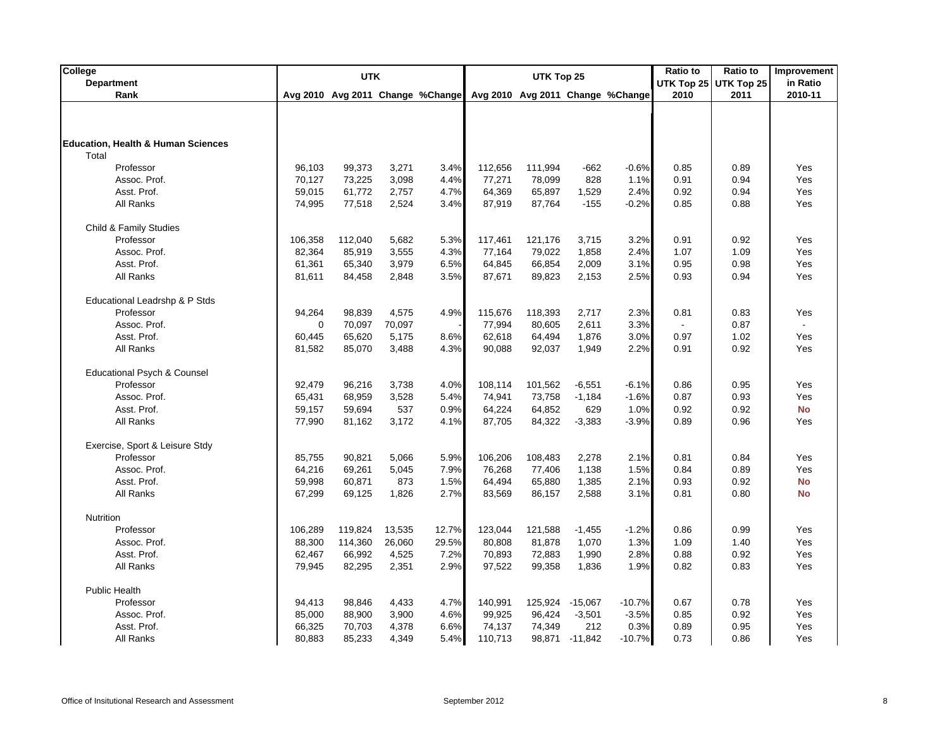| College                                       |         | <b>UTK</b> |        |                                  |         | UTK Top 25 |           |                                  | Ratio to | <b>Ratio to</b>       | Improvement |
|-----------------------------------------------|---------|------------|--------|----------------------------------|---------|------------|-----------|----------------------------------|----------|-----------------------|-------------|
| <b>Department</b>                             |         |            |        |                                  |         |            |           |                                  |          | UTK Top 25 UTK Top 25 | in Ratio    |
| Rank                                          |         |            |        | Avg 2010 Avg 2011 Change %Change |         |            |           | Avg 2010 Avg 2011 Change %Change | 2010     | 2011                  | 2010-11     |
|                                               |         |            |        |                                  |         |            |           |                                  |          |                       |             |
|                                               |         |            |        |                                  |         |            |           |                                  |          |                       |             |
| <b>Education, Health &amp; Human Sciences</b> |         |            |        |                                  |         |            |           |                                  |          |                       |             |
| Total                                         |         |            |        |                                  |         |            |           |                                  |          |                       |             |
| Professor                                     | 96,103  | 99,373     | 3,271  | 3.4%                             | 112,656 | 111,994    | $-662$    | $-0.6%$                          | 0.85     | 0.89                  | Yes         |
| Assoc. Prof.                                  | 70,127  | 73,225     | 3,098  | 4.4%                             | 77,271  | 78,099     | 828       | 1.1%                             | 0.91     | 0.94                  | Yes         |
| Asst. Prof.                                   | 59,015  | 61,772     | 2,757  | 4.7%                             | 64,369  | 65,897     | 1,529     | 2.4%                             | 0.92     | 0.94                  | Yes         |
| All Ranks                                     | 74,995  | 77,518     | 2,524  | 3.4%                             | 87,919  | 87,764     | $-155$    | $-0.2%$                          | 0.85     | 0.88                  | Yes         |
| Child & Family Studies                        |         |            |        |                                  |         |            |           |                                  |          |                       |             |
| Professor                                     | 106,358 | 112,040    | 5,682  | 5.3%                             | 117,461 | 121,176    | 3,715     | 3.2%                             | 0.91     | 0.92                  | Yes         |
| Assoc. Prof.                                  | 82,364  | 85,919     | 3,555  | 4.3%                             | 77,164  | 79,022     | 1,858     | 2.4%                             | 1.07     | 1.09                  | Yes         |
| Asst. Prof.                                   | 61,361  | 65,340     | 3,979  | 6.5%                             | 64,845  | 66,854     | 2,009     | 3.1%                             | 0.95     | 0.98                  | Yes         |
| All Ranks                                     | 81,611  | 84,458     | 2,848  | 3.5%                             | 87,671  | 89,823     | 2,153     | 2.5%                             | 0.93     | 0.94                  | Yes         |
| Educational Leadrshp & P Stds                 |         |            |        |                                  |         |            |           |                                  |          |                       |             |
| Professor                                     | 94,264  | 98,839     | 4,575  | 4.9%                             | 115,676 | 118,393    | 2,717     | 2.3%                             | 0.81     | 0.83                  | Yes         |
| Assoc. Prof.                                  | 0       | 70,097     | 70,097 |                                  | 77,994  | 80,605     | 2,611     | 3.3%                             |          | 0.87                  | $\omega$    |
| Asst. Prof.                                   | 60,445  | 65,620     | 5,175  | 8.6%                             | 62,618  | 64,494     | 1,876     | 3.0%                             | 0.97     | 1.02                  | Yes         |
| All Ranks                                     | 81,582  | 85,070     | 3,488  | 4.3%                             | 90,088  | 92,037     | 1,949     | 2.2%                             | 0.91     | 0.92                  | Yes         |
|                                               |         |            |        |                                  |         |            |           |                                  |          |                       |             |
| Educational Psych & Counsel                   |         |            |        |                                  |         |            |           |                                  |          |                       |             |
| Professor                                     | 92,479  | 96,216     | 3,738  | 4.0%                             | 108,114 | 101,562    | $-6,551$  | $-6.1%$                          | 0.86     | 0.95                  | Yes         |
| Assoc. Prof.                                  | 65,431  | 68,959     | 3,528  | 5.4%                             | 74,941  | 73,758     | $-1,184$  | $-1.6%$                          | 0.87     | 0.93                  | Yes         |
| Asst. Prof.                                   | 59,157  | 59,694     | 537    | 0.9%                             | 64,224  | 64,852     | 629       | 1.0%                             | 0.92     | 0.92                  | <b>No</b>   |
| All Ranks                                     | 77,990  | 81,162     | 3,172  | 4.1%                             | 87,705  | 84,322     | $-3,383$  | $-3.9%$                          | 0.89     | 0.96                  | Yes         |
| Exercise, Sport & Leisure Stdy                |         |            |        |                                  |         |            |           |                                  |          |                       |             |
| Professor                                     | 85,755  | 90,821     | 5,066  | 5.9%                             | 106,206 | 108,483    | 2,278     | 2.1%                             | 0.81     | 0.84                  | Yes         |
| Assoc. Prof.                                  | 64,216  | 69,261     | 5,045  | 7.9%                             | 76,268  | 77,406     | 1,138     | 1.5%                             | 0.84     | 0.89                  | Yes         |
| Asst. Prof.                                   | 59,998  | 60,871     | 873    | 1.5%                             | 64,494  | 65,880     | 1,385     | 2.1%                             | 0.93     | 0.92                  | <b>No</b>   |
| All Ranks                                     | 67,299  | 69,125     | 1,826  | 2.7%                             | 83,569  | 86,157     | 2,588     | 3.1%                             | 0.81     | 0.80                  | <b>No</b>   |
| Nutrition                                     |         |            |        |                                  |         |            |           |                                  |          |                       |             |
| Professor                                     | 106,289 | 119,824    | 13,535 | 12.7%                            | 123,044 | 121,588    | $-1,455$  | $-1.2%$                          | 0.86     | 0.99                  | Yes         |
| Assoc. Prof.                                  | 88,300  | 114,360    | 26,060 | 29.5%                            | 80,808  | 81,878     | 1,070     | 1.3%                             | 1.09     | 1.40                  | Yes         |
| Asst. Prof.                                   | 62,467  | 66,992     | 4,525  | 7.2%                             | 70,893  | 72,883     | 1,990     | 2.8%                             | 0.88     | 0.92                  | Yes         |
| All Ranks                                     | 79,945  | 82,295     | 2,351  | 2.9%                             | 97,522  | 99,358     | 1,836     | 1.9%                             | 0.82     | 0.83                  | Yes         |
| <b>Public Health</b>                          |         |            |        |                                  |         |            |           |                                  |          |                       |             |
| Professor                                     | 94,413  | 98,846     | 4,433  | 4.7%                             | 140,991 | 125,924    | -15,067   | $-10.7%$                         | 0.67     | 0.78                  | Yes         |
| Assoc. Prof.                                  | 85,000  | 88,900     | 3,900  | 4.6%                             | 99,925  | 96,424     | $-3,501$  | $-3.5%$                          | 0.85     | 0.92                  | Yes         |
| Asst. Prof.                                   | 66,325  | 70,703     | 4,378  | 6.6%                             | 74,137  | 74,349     | 212       | 0.3%                             | 0.89     | 0.95                  | Yes         |
| All Ranks                                     | 80,883  | 85,233     | 4,349  | 5.4%                             | 110,713 | 98,871     | $-11,842$ | $-10.7%$                         | 0.73     | 0.86                  | Yes         |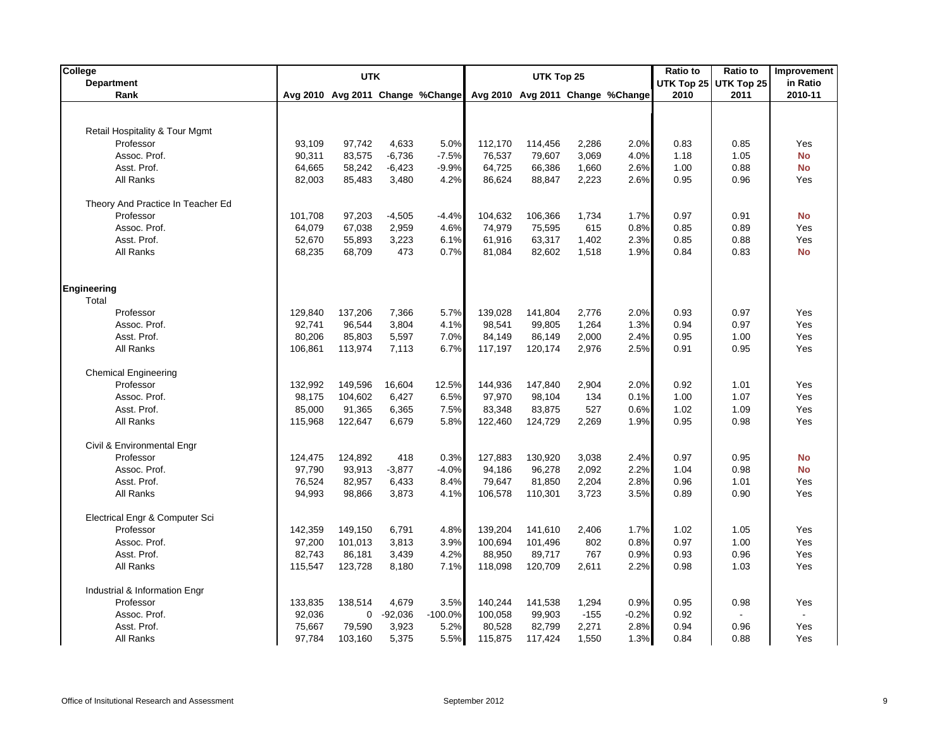| College                           |         | <b>UTK</b>                       |           |           | UTK Top 25 |         |        |                                  | <b>Ratio to</b><br><b>Ratio to</b> |                   |                |
|-----------------------------------|---------|----------------------------------|-----------|-----------|------------|---------|--------|----------------------------------|------------------------------------|-------------------|----------------|
| <b>Department</b>                 |         |                                  |           |           |            |         |        |                                  | UTK Top 25                         | <b>UTK Top 25</b> | in Ratio       |
| Rank                              |         | Avg 2010 Avg 2011 Change %Change |           |           |            |         |        | Avg 2010 Avg 2011 Change %Change | 2010                               | 2011              | 2010-11        |
|                                   |         |                                  |           |           |            |         |        |                                  |                                    |                   |                |
| Retail Hospitality & Tour Mgmt    |         |                                  |           |           |            |         |        |                                  |                                    |                   |                |
| Professor                         | 93,109  | 97,742                           | 4,633     | 5.0%      | 112,170    | 114,456 | 2,286  | 2.0%                             | 0.83                               | 0.85              | Yes            |
| Assoc. Prof.                      | 90,311  | 83,575                           | $-6,736$  | $-7.5%$   | 76,537     | 79,607  | 3,069  | 4.0%                             | 1.18                               | 1.05              | <b>No</b>      |
| Asst. Prof.                       | 64,665  | 58,242                           | $-6,423$  | $-9.9%$   | 64,725     | 66,386  | 1,660  | 2.6%                             | 1.00                               | 0.88              | <b>No</b>      |
| All Ranks                         | 82,003  | 85,483                           | 3,480     | 4.2%      | 86,624     | 88,847  | 2,223  | 2.6%                             | 0.95                               | 0.96              | Yes            |
| Theory And Practice In Teacher Ed |         |                                  |           |           |            |         |        |                                  |                                    |                   |                |
| Professor                         | 101,708 | 97,203                           | $-4,505$  | -4.4%     | 104,632    | 106,366 | 1,734  | 1.7%                             | 0.97                               | 0.91              | No             |
| Assoc. Prof.                      | 64,079  | 67,038                           | 2,959     | 4.6%      | 74,979     | 75,595  | 615    | 0.8%                             | 0.85                               | 0.89              | Yes            |
| Asst. Prof.                       | 52,670  | 55,893                           | 3,223     | 6.1%      | 61,916     | 63,317  | 1,402  | 2.3%                             | 0.85                               | 0.88              | Yes            |
| All Ranks                         | 68,235  | 68,709                           | 473       | 0.7%      | 81,084     | 82,602  | 1,518  | 1.9%                             | 0.84                               | 0.83              | <b>No</b>      |
|                                   |         |                                  |           |           |            |         |        |                                  |                                    |                   |                |
| <b>Engineering</b>                |         |                                  |           |           |            |         |        |                                  |                                    |                   |                |
| Total                             |         |                                  |           |           |            |         |        |                                  |                                    |                   |                |
| Professor                         | 129,840 | 137,206                          | 7,366     | 5.7%      | 139,028    | 141,804 | 2,776  | 2.0%                             | 0.93                               | 0.97              | Yes            |
| Assoc. Prof.                      | 92,741  | 96,544                           | 3,804     | 4.1%      | 98,541     | 99,805  | 1,264  | 1.3%                             | 0.94                               | 0.97              | Yes            |
| Asst. Prof.                       | 80,206  | 85,803                           | 5,597     | 7.0%      | 84,149     | 86,149  | 2,000  | 2.4%                             | 0.95                               | 1.00              | Yes            |
| All Ranks                         | 106,861 | 113,974                          | 7,113     | 6.7%      | 117,197    | 120,174 | 2,976  | 2.5%                             | 0.91                               | 0.95              | Yes            |
| <b>Chemical Engineering</b>       |         |                                  |           |           |            |         |        |                                  |                                    |                   |                |
| Professor                         | 132,992 | 149,596                          | 16,604    | 12.5%     | 144,936    | 147,840 | 2,904  | 2.0%                             | 0.92                               | 1.01              | Yes            |
| Assoc. Prof.                      | 98,175  | 104,602                          | 6,427     | 6.5%      | 97,970     | 98,104  | 134    | 0.1%                             | 1.00                               | 1.07              | Yes            |
| Asst. Prof.                       | 85,000  | 91,365                           | 6,365     | 7.5%      | 83,348     | 83,875  | 527    | 0.6%                             | 1.02                               | 1.09              | Yes            |
| All Ranks                         | 115,968 | 122,647                          | 6,679     | 5.8%      | 122,460    | 124,729 | 2,269  | 1.9%                             | 0.95                               | 0.98              | Yes            |
| Civil & Environmental Engr        |         |                                  |           |           |            |         |        |                                  |                                    |                   |                |
| Professor                         | 124,475 | 124,892                          | 418       | 0.3%      | 127,883    | 130,920 | 3,038  | 2.4%                             | 0.97                               | 0.95              | <b>No</b>      |
| Assoc. Prof.                      | 97,790  | 93,913                           | $-3,877$  | $-4.0%$   | 94,186     | 96,278  | 2,092  | 2.2%                             | 1.04                               | 0.98              | <b>No</b>      |
| Asst. Prof.                       | 76,524  | 82,957                           | 6,433     | 8.4%      | 79,647     | 81,850  | 2,204  | 2.8%                             | 0.96                               | 1.01              | Yes            |
| All Ranks                         | 94,993  | 98,866                           | 3,873     | 4.1%      | 106,578    | 110,301 | 3,723  | 3.5%                             | 0.89                               | 0.90              | Yes            |
| Electrical Engr & Computer Sci    |         |                                  |           |           |            |         |        |                                  |                                    |                   |                |
| Professor                         | 142,359 | 149,150                          | 6,791     | 4.8%      | 139,204    | 141,610 | 2,406  | 1.7%                             | 1.02                               | 1.05              | Yes            |
| Assoc. Prof.                      | 97,200  | 101,013                          | 3,813     | 3.9%      | 100,694    | 101,496 | 802    | 0.8%                             | 0.97                               | 1.00              | Yes            |
| Asst. Prof.                       | 82,743  | 86,181                           | 3,439     | 4.2%      | 88,950     | 89,717  | 767    | 0.9%                             | 0.93                               | 0.96              | Yes            |
| All Ranks                         | 115,547 | 123,728                          | 8,180     | 7.1%      | 118,098    | 120,709 | 2,611  | 2.2%                             | 0.98                               | 1.03              | Yes            |
| Industrial & Information Engr     |         |                                  |           |           |            |         |        |                                  |                                    |                   |                |
| Professor                         | 133,835 | 138,514                          | 4,679     | 3.5%      | 140,244    | 141,538 | 1,294  | 0.9%                             | 0.95                               | 0.98              | Yes            |
| Assoc. Prof.                      | 92,036  | $\mathbf 0$                      | $-92,036$ | $-100.0%$ | 100,058    | 99,903  | $-155$ | $-0.2%$                          | 0.92                               |                   | $\blacksquare$ |
| Asst. Prof.                       | 75,667  | 79,590                           | 3,923     | 5.2%      | 80,528     | 82,799  | 2,271  | 2.8%                             | 0.94                               | 0.96              | Yes            |
| All Ranks                         | 97,784  | 103,160                          | 5,375     | 5.5%      | 115,875    | 117,424 | 1,550  | 1.3%                             | 0.84                               | 0.88              | Yes            |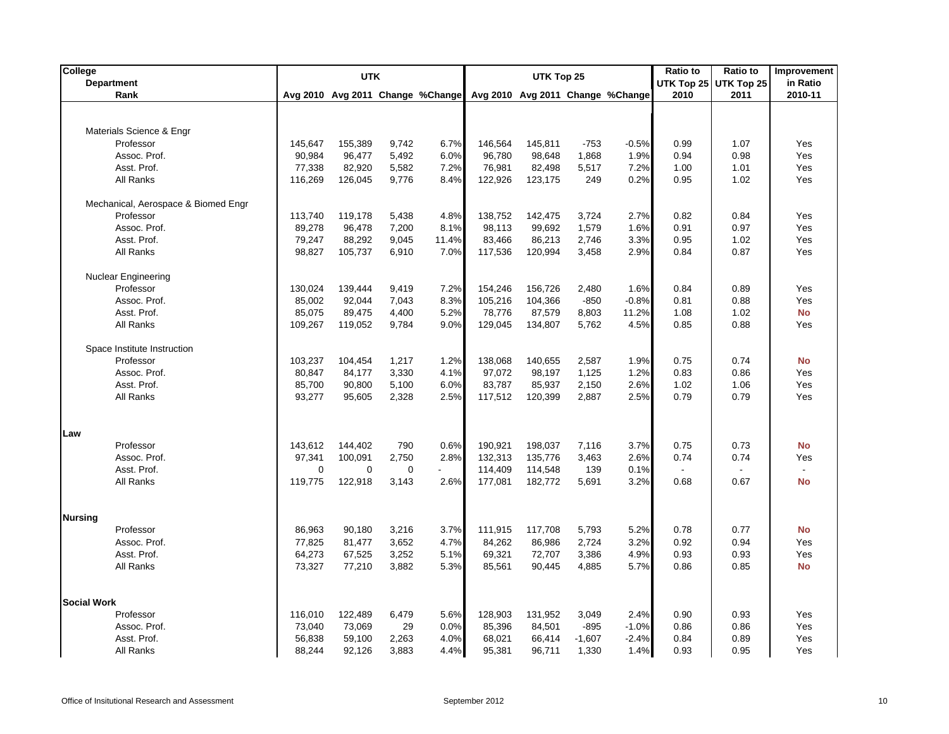| College            |                                     |             | <b>UTK</b>  |          |                                  | UTK Top 25 |         |          |                                  | <b>Ratio to</b> | Ratio to              | Improvement |
|--------------------|-------------------------------------|-------------|-------------|----------|----------------------------------|------------|---------|----------|----------------------------------|-----------------|-----------------------|-------------|
|                    | <b>Department</b>                   |             |             |          |                                  |            |         |          |                                  |                 | UTK Top 25 UTK Top 25 | in Ratio    |
|                    | Rank                                |             |             |          | Avg 2010 Avg 2011 Change %Change |            |         |          | Avg 2010 Avg 2011 Change %Change | 2010            | 2011                  | 2010-11     |
|                    |                                     |             |             |          |                                  |            |         |          |                                  |                 |                       |             |
|                    | Materials Science & Engr            |             |             |          |                                  |            |         |          |                                  |                 |                       |             |
|                    | Professor                           | 145,647     | 155,389     | 9,742    | 6.7%                             | 146,564    | 145,811 | $-753$   | $-0.5%$                          | 0.99            | 1.07                  | Yes         |
|                    | Assoc. Prof.                        | 90,984      | 96,477      | 5,492    | 6.0%                             | 96,780     | 98,648  | 1,868    | 1.9%                             | 0.94            | 0.98                  | Yes         |
|                    | Asst. Prof.                         | 77,338      | 82,920      | 5,582    | 7.2%                             | 76,981     | 82,498  | 5,517    | 7.2%                             | 1.00            | 1.01                  | Yes         |
|                    | All Ranks                           | 116,269     | 126,045     | 9,776    | 8.4%                             | 122,926    | 123,175 | 249      | 0.2%                             | 0.95            | 1.02                  | Yes         |
|                    | Mechanical, Aerospace & Biomed Engr |             |             |          |                                  |            |         |          |                                  |                 |                       |             |
|                    | Professor                           | 113,740     | 119,178     | 5,438    | 4.8%                             | 138,752    | 142,475 | 3,724    | 2.7%                             | 0.82            | 0.84                  | Yes         |
|                    | Assoc. Prof.                        | 89,278      | 96,478      | 7,200    | 8.1%                             | 98,113     | 99,692  | 1,579    | 1.6%                             | 0.91            | 0.97                  | Yes         |
|                    | Asst. Prof.                         | 79,247      | 88,292      | 9,045    | 11.4%                            | 83,466     | 86,213  | 2,746    | 3.3%                             | 0.95            | 1.02                  | Yes         |
|                    | All Ranks                           | 98,827      | 105,737     | 6,910    | 7.0%                             | 117,536    | 120,994 | 3,458    | 2.9%                             | 0.84            | 0.87                  | Yes         |
|                    |                                     |             |             |          |                                  |            |         |          |                                  |                 |                       |             |
|                    | <b>Nuclear Engineering</b>          |             |             |          |                                  |            |         |          |                                  |                 |                       |             |
|                    | Professor                           | 130,024     | 139,444     | 9,419    | 7.2%                             | 154,246    | 156,726 | 2,480    | 1.6%                             | 0.84            | 0.89                  | Yes         |
|                    | Assoc. Prof.                        | 85,002      | 92,044      | 7,043    | 8.3%                             | 105,216    | 104,366 | $-850$   | $-0.8%$                          | 0.81            | 0.88                  | Yes         |
|                    | Asst. Prof.                         | 85,075      | 89,475      | 4,400    | 5.2%                             | 78,776     | 87,579  | 8,803    | 11.2%                            | 1.08            | 1.02                  | <b>No</b>   |
|                    | All Ranks                           | 109,267     | 119,052     | 9,784    | 9.0%                             | 129,045    | 134,807 | 5,762    | 4.5%                             | 0.85            | 0.88                  | Yes         |
|                    | Space Institute Instruction         |             |             |          |                                  |            |         |          |                                  |                 |                       |             |
|                    | Professor                           | 103,237     | 104,454     | 1,217    | 1.2%                             | 138,068    | 140,655 | 2,587    | 1.9%                             | 0.75            | 0.74                  | <b>No</b>   |
|                    | Assoc. Prof.                        | 80,847      | 84,177      | 3,330    | 4.1%                             | 97,072     | 98,197  | 1,125    | 1.2%                             | 0.83            | 0.86                  | Yes         |
|                    | Asst. Prof.                         | 85,700      | 90,800      | 5,100    | 6.0%                             | 83,787     | 85,937  | 2,150    | 2.6%                             | 1.02            | 1.06                  | Yes         |
|                    | All Ranks                           | 93,277      | 95,605      | 2,328    | 2.5%                             | 117,512    | 120,399 | 2,887    | 2.5%                             | 0.79            | 0.79                  | Yes         |
|                    |                                     |             |             |          |                                  |            |         |          |                                  |                 |                       |             |
| Law                |                                     |             |             |          |                                  |            |         |          |                                  |                 |                       |             |
|                    | Professor                           | 143,612     | 144,402     | 790      | 0.6%                             | 190,921    | 198,037 | 7,116    | 3.7%                             | 0.75            | 0.73                  | <b>No</b>   |
|                    | Assoc. Prof.                        | 97,341      | 100,091     | 2,750    | 2.8%                             | 132,313    | 135,776 | 3,463    | 2.6%                             | 0.74            | 0.74                  | Yes         |
|                    | Asst. Prof.                         | $\mathbf 0$ | $\mathbf 0$ | $\Omega$ |                                  | 114,409    | 114,548 | 139      | 0.1%                             |                 |                       | $\sim$      |
|                    | All Ranks                           | 119,775     | 122,918     | 3,143    | 2.6%                             | 177,081    | 182,772 | 5,691    | 3.2%                             | 0.68            | 0.67                  | <b>No</b>   |
|                    |                                     |             |             |          |                                  |            |         |          |                                  |                 |                       |             |
| <b>Nursing</b>     |                                     |             |             |          |                                  |            |         |          |                                  |                 |                       |             |
|                    | Professor                           | 86,963      | 90,180      | 3,216    | 3.7%                             | 111,915    | 117,708 | 5,793    | 5.2%                             | 0.78            | 0.77                  | <b>No</b>   |
|                    | Assoc. Prof.                        | 77,825      | 81,477      | 3,652    | 4.7%                             | 84,262     | 86,986  | 2,724    | 3.2%                             | 0.92            | 0.94                  | Yes         |
|                    | Asst. Prof.                         | 64,273      | 67,525      | 3,252    | 5.1%                             | 69,321     | 72,707  | 3,386    | 4.9%                             | 0.93            | 0.93                  | Yes         |
|                    | All Ranks                           | 73,327      | 77,210      | 3,882    | 5.3%                             | 85,561     | 90,445  | 4,885    | 5.7%                             | 0.86            | 0.85                  | <b>No</b>   |
|                    |                                     |             |             |          |                                  |            |         |          |                                  |                 |                       |             |
| <b>Social Work</b> |                                     |             |             |          |                                  |            |         |          |                                  |                 |                       |             |
|                    | Professor                           | 116,010     | 122,489     | 6,479    | 5.6%                             | 128,903    | 131,952 | 3,049    | 2.4%                             | 0.90            | 0.93                  | Yes         |
|                    | Assoc. Prof.                        | 73.040      | 73,069      | 29       | 0.0%                             | 85,396     | 84,501  | $-895$   | $-1.0%$                          | 0.86            | 0.86                  | Yes         |
|                    | Asst. Prof.                         | 56,838      | 59,100      | 2,263    | 4.0%                             | 68,021     | 66,414  | $-1,607$ | $-2.4%$                          | 0.84            | 0.89                  | Yes         |
|                    | All Ranks                           | 88,244      | 92,126      | 3,883    | 4.4%                             | 95,381     | 96,711  | 1,330    | 1.4%                             | 0.93            | 0.95                  | Yes         |
|                    |                                     |             |             |          |                                  |            |         |          |                                  |                 |                       |             |